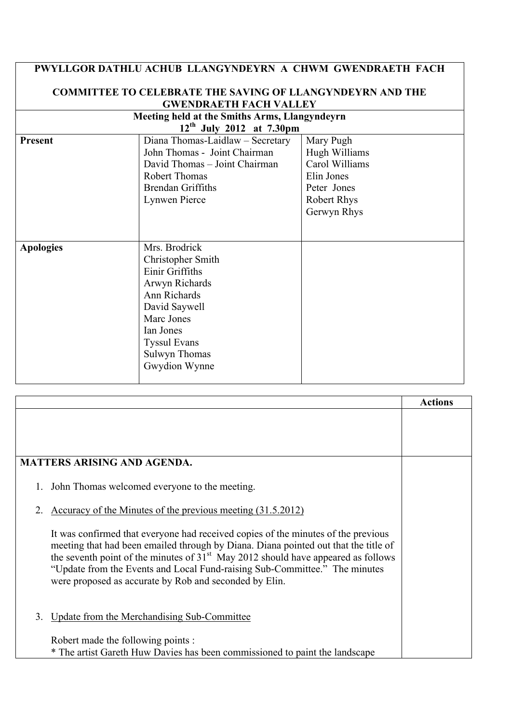| PWYLLGOR DATHLU ACHUB LLANGYNDEYRN A CHWM GWENDRAETH FACH        |                                  |                    |  |  |  |
|------------------------------------------------------------------|----------------------------------|--------------------|--|--|--|
| <b>COMMITTEE TO CELEBRATE THE SAVING OF LLANGYNDEYRN AND THE</b> |                                  |                    |  |  |  |
| <b>GWENDRAETH FACH VALLEY</b>                                    |                                  |                    |  |  |  |
| Meeting held at the Smiths Arms, Llangyndeyrn                    |                                  |                    |  |  |  |
|                                                                  | $12^{th}$ July 2012 at 7.30pm    |                    |  |  |  |
| <b>Present</b>                                                   | Diana Thomas-Laidlaw - Secretary | Mary Pugh          |  |  |  |
|                                                                  | John Thomas - Joint Chairman     | Hugh Williams      |  |  |  |
|                                                                  | David Thomas - Joint Chairman    | Carol Williams     |  |  |  |
|                                                                  | <b>Robert Thomas</b>             | Elin Jones         |  |  |  |
|                                                                  | <b>Brendan Griffiths</b>         | Peter Jones        |  |  |  |
|                                                                  | Lynwen Pierce                    | <b>Robert Rhys</b> |  |  |  |
|                                                                  |                                  | Gerwyn Rhys        |  |  |  |
|                                                                  |                                  |                    |  |  |  |
|                                                                  |                                  |                    |  |  |  |
| <b>Apologies</b>                                                 | Mrs. Brodrick                    |                    |  |  |  |
|                                                                  | Christopher Smith                |                    |  |  |  |
|                                                                  | Einir Griffiths                  |                    |  |  |  |
|                                                                  | Arwyn Richards                   |                    |  |  |  |
|                                                                  | Ann Richards                     |                    |  |  |  |
|                                                                  | David Saywell                    |                    |  |  |  |
|                                                                  | Marc Jones                       |                    |  |  |  |
|                                                                  | Ian Jones                        |                    |  |  |  |
|                                                                  | <b>Tyssul Evans</b>              |                    |  |  |  |
|                                                                  | <b>Sulwyn Thomas</b>             |                    |  |  |  |
|                                                                  | Gwydion Wynne                    |                    |  |  |  |
|                                                                  |                                  |                    |  |  |  |

|                                                                                                                                                                                                                                                                                                                                                                                                         | <b>Actions</b> |
|---------------------------------------------------------------------------------------------------------------------------------------------------------------------------------------------------------------------------------------------------------------------------------------------------------------------------------------------------------------------------------------------------------|----------------|
|                                                                                                                                                                                                                                                                                                                                                                                                         |                |
|                                                                                                                                                                                                                                                                                                                                                                                                         |                |
|                                                                                                                                                                                                                                                                                                                                                                                                         |                |
| <b>MATTERS ARISING AND AGENDA.</b>                                                                                                                                                                                                                                                                                                                                                                      |                |
| John Thomas welcomed everyone to the meeting.                                                                                                                                                                                                                                                                                                                                                           |                |
| Accuracy of the Minutes of the previous meeting (31.5.2012)                                                                                                                                                                                                                                                                                                                                             |                |
| It was confirmed that everyone had received copies of the minutes of the previous<br>meeting that had been emailed through by Diana. Diana pointed out that the title of<br>the seventh point of the minutes of $31st$ May 2012 should have appeared as follows<br>"Update from the Events and Local Fund-raising Sub-Committee." The minutes<br>were proposed as accurate by Rob and seconded by Elin. |                |
| Update from the Merchandising Sub-Committee<br>3                                                                                                                                                                                                                                                                                                                                                        |                |
| Robert made the following points :                                                                                                                                                                                                                                                                                                                                                                      |                |
| * The artist Gareth Huw Davies has been commissioned to paint the landscape                                                                                                                                                                                                                                                                                                                             |                |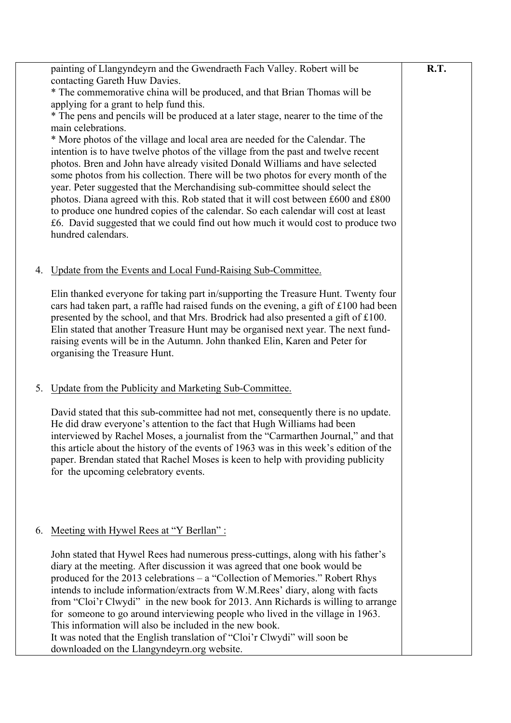|    | painting of Llangyndeyrn and the Gwendraeth Fach Valley. Robert will be                                                                                                    | R.T. |
|----|----------------------------------------------------------------------------------------------------------------------------------------------------------------------------|------|
|    | contacting Gareth Huw Davies.<br>* The commemorative china will be produced, and that Brian Thomas will be                                                                 |      |
|    | applying for a grant to help fund this.                                                                                                                                    |      |
|    | * The pens and pencils will be produced at a later stage, nearer to the time of the                                                                                        |      |
|    | main celebrations.                                                                                                                                                         |      |
|    | * More photos of the village and local area are needed for the Calendar. The<br>intention is to have twelve photos of the village from the past and twelve recent          |      |
|    | photos. Bren and John have already visited Donald Williams and have selected                                                                                               |      |
|    | some photos from his collection. There will be two photos for every month of the                                                                                           |      |
|    | year. Peter suggested that the Merchandising sub-committee should select the<br>photos. Diana agreed with this. Rob stated that it will cost between £600 and £800         |      |
|    | to produce one hundred copies of the calendar. So each calendar will cost at least                                                                                         |      |
|    | £6. David suggested that we could find out how much it would cost to produce two                                                                                           |      |
|    | hundred calendars.                                                                                                                                                         |      |
|    |                                                                                                                                                                            |      |
| 4. | Update from the Events and Local Fund-Raising Sub-Committee.                                                                                                               |      |
|    | Elin thanked everyone for taking part in/supporting the Treasure Hunt. Twenty four                                                                                         |      |
|    | cars had taken part, a raffle had raised funds on the evening, a gift of £100 had been                                                                                     |      |
|    | presented by the school, and that Mrs. Brodrick had also presented a gift of £100.<br>Elin stated that another Treasure Hunt may be organised next year. The next fund-    |      |
|    | raising events will be in the Autumn. John thanked Elin, Karen and Peter for                                                                                               |      |
|    | organising the Treasure Hunt.                                                                                                                                              |      |
|    |                                                                                                                                                                            |      |
| 5. | Update from the Publicity and Marketing Sub-Committee.                                                                                                                     |      |
|    | David stated that this sub-committee had not met, consequently there is no update.                                                                                         |      |
|    | He did draw everyone's attention to the fact that Hugh Williams had been                                                                                                   |      |
|    | interviewed by Rachel Moses, a journalist from the "Carmarthen Journal," and that                                                                                          |      |
|    | this article about the history of the events of 1963 was in this week's edition of the<br>paper. Brendan stated that Rachel Moses is keen to help with providing publicity |      |
|    | for the upcoming celebratory events.                                                                                                                                       |      |
|    |                                                                                                                                                                            |      |
|    |                                                                                                                                                                            |      |
|    | Meeting with Hywel Rees at "Y Berllan":                                                                                                                                    |      |
| 6. |                                                                                                                                                                            |      |
|    | John stated that Hywel Rees had numerous press-cuttings, along with his father's                                                                                           |      |
|    | diary at the meeting. After discussion it was agreed that one book would be<br>produced for the 2013 celebrations – a "Collection of Memories." Robert Rhys                |      |
|    | intends to include information/extracts from W.M.Rees' diary, along with facts                                                                                             |      |
|    | from "Cloi'r Clwydi" in the new book for 2013. Ann Richards is willing to arrange                                                                                          |      |
|    | for someone to go around interviewing people who lived in the village in 1963.<br>This information will also be included in the new book.                                  |      |
|    | It was noted that the English translation of "Cloi'r Clwydi" will soon be                                                                                                  |      |
|    | downloaded on the Llangyndeyrn.org website.                                                                                                                                |      |